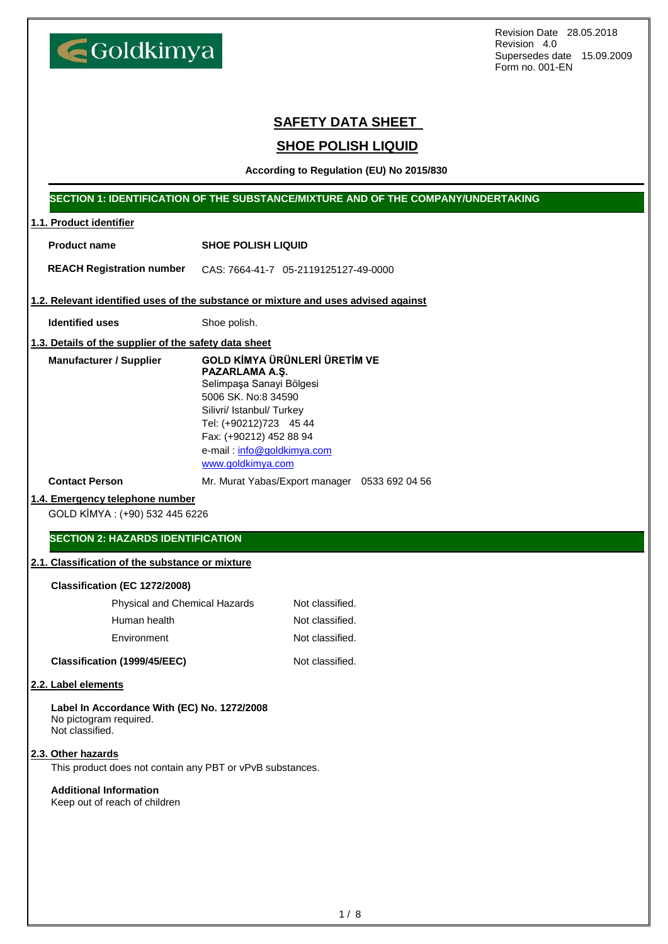Goldkimya

Revision Date 28.05.2018 Revision 4.0 Supersedes date 15.09.2009 Form no. 001-EN

# **SAFETY DATA SHEET**

# **SHOE POLISH LIQUID**

**According to Regulation (EU) No 2015/830**

## **SECTION 1: IDENTIFICATION OF THE SUBSTANCE/MIXTURE AND OF THE COMPANY/UNDERTAKING**

| 1.1. Product identifier                                                                  |                                                                                                                                                                                                                                                |                                               |
|------------------------------------------------------------------------------------------|------------------------------------------------------------------------------------------------------------------------------------------------------------------------------------------------------------------------------------------------|-----------------------------------------------|
| <b>Product name</b>                                                                      | <b>SHOE POLISH LIQUID</b>                                                                                                                                                                                                                      |                                               |
| <b>REACH Registration number</b>                                                         | CAS: 7664-41-7 05-2119125127-49-0000                                                                                                                                                                                                           |                                               |
| 1.2. Relevant identified uses of the substance or mixture and uses advised against       |                                                                                                                                                                                                                                                |                                               |
| <b>Identified uses</b>                                                                   | Shoe polish.                                                                                                                                                                                                                                   |                                               |
| 1.3. Details of the supplier of the safety data sheet                                    |                                                                                                                                                                                                                                                |                                               |
| <b>Manufacturer / Supplier</b>                                                           | <b>GOLD KİMYA ÜRÜNLERİ ÜRETİM VE</b><br>PAZARLAMA A.Ş.<br>Selimpaşa Sanayi Bölgesi<br>5006 SK. No:8 34590<br>Silivri/ Istanbul/ Turkey<br>Tel: (+90212)723 45 44<br>Fax: (+90212) 452 88 94<br>e-mail: info@goldkimya.com<br>www.goldkimya.com |                                               |
| <b>Contact Person</b>                                                                    |                                                                                                                                                                                                                                                | Mr. Murat Yabas/Export manager 0533 692 04 56 |
| 1.4. Emergency telephone number<br>GOLD KİMYA: (+90) 532 445 6226                        |                                                                                                                                                                                                                                                |                                               |
| <b>SECTION 2: HAZARDS IDENTIFICATION</b>                                                 |                                                                                                                                                                                                                                                |                                               |
| 2.1. Classification of the substance or mixture                                          |                                                                                                                                                                                                                                                |                                               |
| Classification (EC 1272/2008)                                                            |                                                                                                                                                                                                                                                |                                               |
| Physical and Chemical Hazards                                                            |                                                                                                                                                                                                                                                | Not classified.                               |
| Human health                                                                             |                                                                                                                                                                                                                                                | Not classified.                               |
| Environment                                                                              |                                                                                                                                                                                                                                                | Not classified.                               |
| Classification (1999/45/EEC)                                                             |                                                                                                                                                                                                                                                | Not classified.                               |
| 2.2. Label elements                                                                      |                                                                                                                                                                                                                                                |                                               |
| Label In Accordance With (EC) No. 1272/2008<br>No pictogram required.<br>Not classified. |                                                                                                                                                                                                                                                |                                               |
| 2.3. Other hazards<br>This product does not contain any PBT or vPvB substances.          |                                                                                                                                                                                                                                                |                                               |
| <b>Additional Information</b><br>Keep out of reach of children                           |                                                                                                                                                                                                                                                |                                               |
|                                                                                          |                                                                                                                                                                                                                                                |                                               |
|                                                                                          |                                                                                                                                                                                                                                                |                                               |
|                                                                                          |                                                                                                                                                                                                                                                |                                               |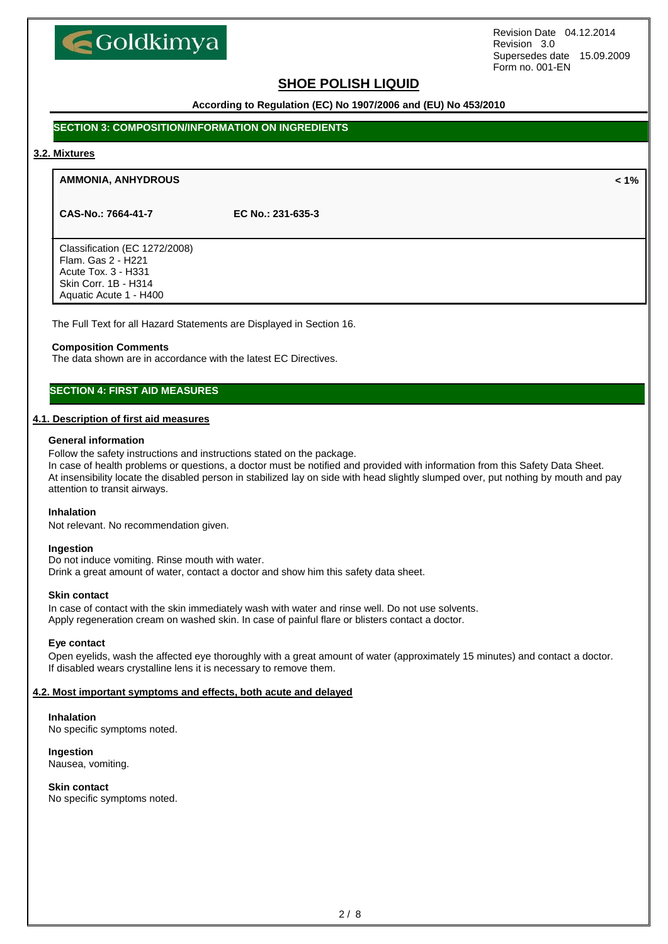

# **SHOE POLISH LIQUID**

**According to Regulation (EC) No 1907/2006 and (EU) No 453/2010**

## **SECTION 3: COMPOSITION/INFORMATION ON INGREDIENTS**

#### **3.2. Mixtures**

#### **AMMONIA, ANHYDROUS < 1%**

**CAS-No.: 7664-41-7 EC No.: 231-635-3**

Classification (EC 1272/2008) Flam. Gas 2 - H221 Acute Tox. 3 - H331 Skin Corr. 1B - H314 Aquatic Acute 1 - H400

The Full Text for all Hazard Statements are Displayed in Section 16.

#### **Composition Comments**

The data shown are in accordance with the latest EC Directives.

# **SECTION 4: FIRST AID MEASURES**

### **4.1. Description of first aid measures**

#### **General information**

Follow the safety instructions and instructions stated on the package.

In case of health problems or questions, a doctor must be notified and provided with information from this Safety Data Sheet. At insensibility locate the disabled person in stabilized lay on side with head slightly slumped over, put nothing by mouth and pay attention to transit airways.

#### **Inhalation**

Not relevant. No recommendation given.

#### **Ingestion**

Do not induce vomiting. Rinse mouth with water. Drink a great amount of water, contact a doctor and show him this safety data sheet.

#### **Skin contact**

In case of contact with the skin immediately wash with water and rinse well. Do not use solvents. Apply regeneration cream on washed skin. In case of painful flare or blisters contact a doctor.

#### **Eye contact**

Open eyelids, wash the affected eye thoroughly with a great amount of water (approximately 15 minutes) and contact a doctor. If disabled wears crystalline lens it is necessary to remove them.

## **4.2. Most important symptoms and effects, both acute and delayed**

## **Inhalation**

No specific symptoms noted.

#### **Ingestion**

Nausea, vomiting.

## **Skin contact**

No specific symptoms noted.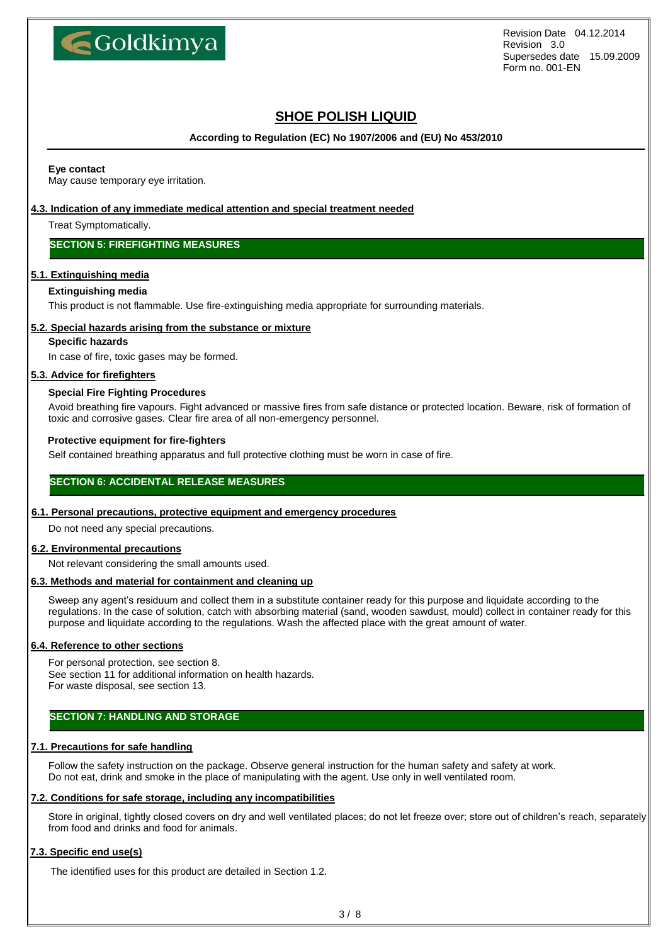

# **SHOE POLISH LIQUID**

**According to Regulation (EC) No 1907/2006 and (EU) No 453/2010**

#### **Eye contact**

May cause temporary eye irritation.

## **4.3. Indication of any immediate medical attention and special treatment needed**

Treat Symptomatically.

## **SECTION 5: FIREFIGHTING MEASURES**

## **5.1. Extinguishing media**

### **Extinguishing media**

This product is not flammable. Use fire-extinguishing media appropriate for surrounding materials.

### **5.2. Special hazards arising from the substance or mixture**

## **Specific hazards**

In case of fire, toxic gases may be formed.

### **5.3. Advice for firefighters**

### **Special Fire Fighting Procedures**

Avoid breathing fire vapours. Fight advanced or massive fires from safe distance or protected location. Beware, risk of formation of toxic and corrosive gases. Clear fire area of all non-emergency personnel.

### **Protective equipment for fire-fighters**

Self contained breathing apparatus and full protective clothing must be worn in case of fire.

## **SECTION 6: ACCIDENTAL RELEASE MEASURES**

## **6.1. Personal precautions, protective equipment and emergency procedures**

Do not need any special precautions.

## **6.2. Environmental precautions**

Not relevant considering the small amounts used.

## **6.3. Methods and material for containment and cleaning up**

Sweep any agent's residuum and collect them in a substitute container ready for this purpose and liquidate according to the regulations. In the case of solution, catch with absorbing material (sand, wooden sawdust, mould) collect in container ready for this purpose and liquidate according to the regulations. Wash the affected place with the great amount of water.

### **6.4. Reference to other sections**

For personal protection, see section 8. See section 11 for additional information on health hazards. For waste disposal, see section 13.

## **SECTION 7: HANDLING AND STORAGE**

## **7.1. Precautions for safe handling**

Follow the safety instruction on the package. Observe general instruction for the human safety and safety at work. Do not eat, drink and smoke in the place of manipulating with the agent. Use only in well ventilated room.

## **7.2. Conditions for safe storage, including any incompatibilities**

Store in original, tightly closed covers on dry and well ventilated places; do not let freeze over; store out of children's reach, separately from food and drinks and food for animals.

## **7.3. Specific end use(s)**

The identified uses for this product are detailed in Section 1.2.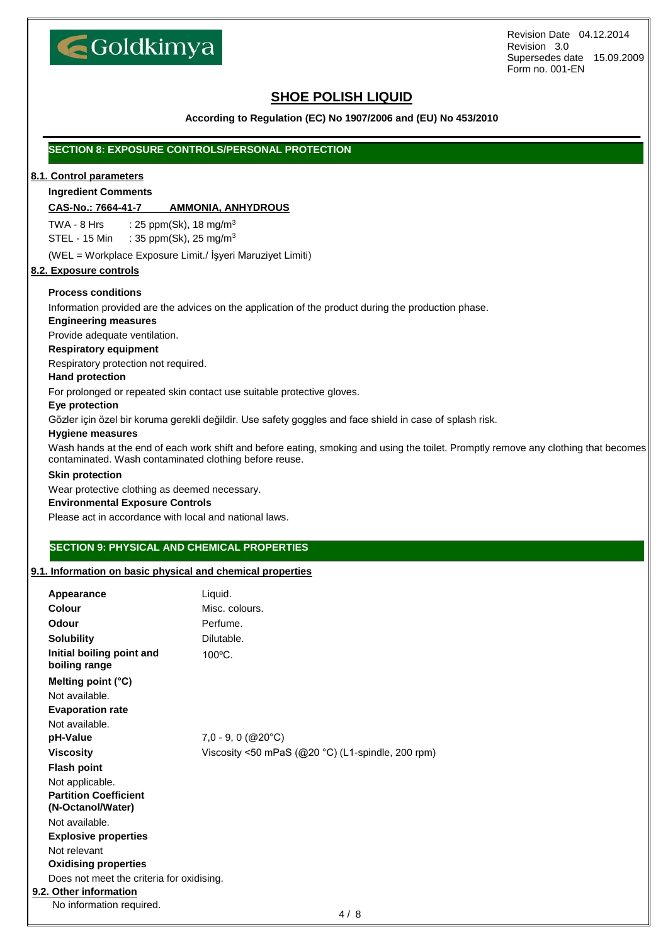

# **SHOE POLISH LIQUID**

## **According to Regulation (EC) No 1907/2006 and (EU) No 453/2010**

## **SECTION 8: EXPOSURE CONTROLS/PERSONAL PROTECTION**

### **8.1. Control parameters**

#### **Ingredient Comments**

#### **CAS-No.: 7664-41-7 AMMONIA, ANHYDROUS**

TWA - 8 Hrs :  $25$  ppm(Sk), 18 mg/m<sup>3</sup> STEL - 15 Min : 35 ppm(Sk), 25 mg/m<sup>3</sup>

(WEL = Workplace Exposure Limit./ İşyeri Maruziyet Limiti)

#### **8.2. Exposure controls**

## **Process conditions**

Information provided are the advices on the application of the product during the production phase.

## **Engineering measures**

Provide adequate ventilation.

#### **Respiratory equipment**

Respiratory protection not required.

#### **Hand protection**

For prolonged or repeated skin contact use suitable protective gloves.

#### **Eye protection**

Gözler için özel bir koruma gerekli değildir. Use safety goggles and face shield in case of splash risk.

#### **Hygiene measures**

Wash hands at the end of each work shift and before eating, smoking and using the toilet. Promptly remove any clothing that becomes contaminated. Wash contaminated clothing before reuse.

#### **Skin protection**

Wear protective clothing as deemed necessary.

### **Environmental Exposure Controls**

Please act in accordance with local and national laws.

# **SECTION 9: PHYSICAL AND CHEMICAL PROPERTIES**

## **9.1. Information on basic physical and chemical properties**

| Appearance                                        | Liquid.                                              |
|---------------------------------------------------|------------------------------------------------------|
| Colour                                            | Misc. colours.                                       |
| Odour                                             | Perfume.                                             |
| <b>Solubility</b>                                 | Dilutable.                                           |
| Initial boiling point and<br>boiling range        | 100°C.                                               |
| Melting point (°C)                                |                                                      |
| Not available.                                    |                                                      |
| <b>Evaporation rate</b>                           |                                                      |
| Not available.                                    |                                                      |
| pH-Value                                          | $7,0 - 9,0$ (@20 $^{\circ}$ C)                       |
| <b>Viscosity</b>                                  | Viscosity <50 mPaS ( $@20$ °C) (L1-spindle, 200 rpm) |
| <b>Flash point</b>                                |                                                      |
| Not applicable.                                   |                                                      |
| <b>Partition Coefficient</b><br>(N-Octanol/Water) |                                                      |
| Not available.                                    |                                                      |
| <b>Explosive properties</b>                       |                                                      |
| Not relevant                                      |                                                      |
| <b>Oxidising properties</b>                       |                                                      |
| Does not meet the criteria for oxidising.         |                                                      |
| 9.2. Other information                            |                                                      |
| No information required.                          |                                                      |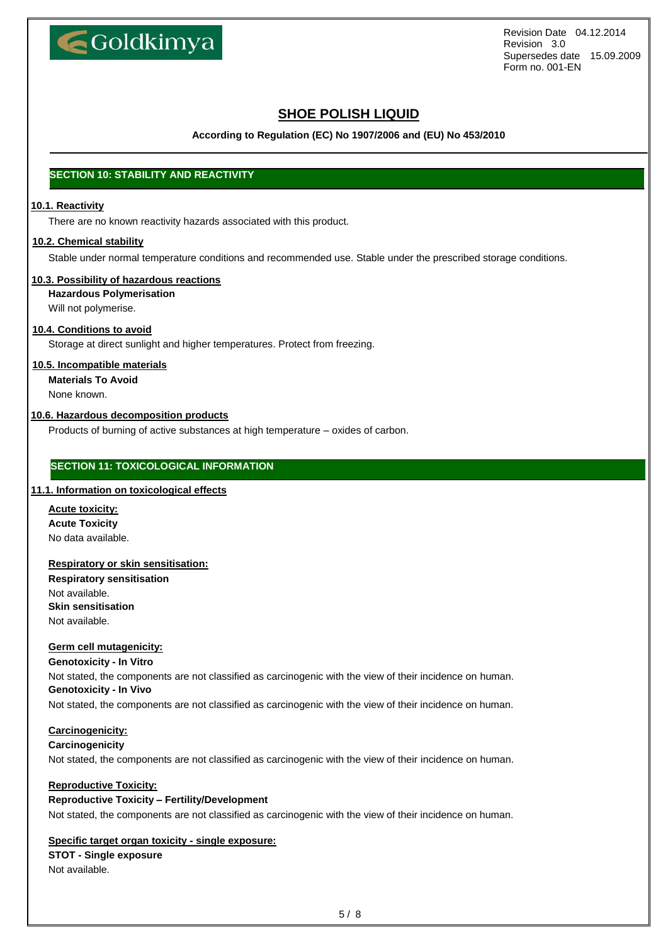

# **SHOE POLISH LIQUID**

**According to Regulation (EC) No 1907/2006 and (EU) No 453/2010**

# **SECTION 10: STABILITY AND REACTIVITY**

## **10.1. Reactivity**

There are no known reactivity hazards associated with this product.

## **10.2. Chemical stability**

Stable under normal temperature conditions and recommended use. Stable under the prescribed storage conditions.

## **10.3. Possibility of hazardous reactions**

**Hazardous Polymerisation**

Will not polymerise.

## **10.4. Conditions to avoid**

Storage at direct sunlight and higher temperatures. Protect from freezing.

## **10.5. Incompatible materials**

**Materials To Avoid**

None known.

## **10.6. Hazardous decomposition products**

Products of burning of active substances at high temperature – oxides of carbon.

## **SECTION 11: TOXICOLOGICAL INFORMATION**

## **11.1. Information on toxicological effects**

**Acute toxicity: Acute Toxicity**  No data available.

### **Respiratory or skin sensitisation:**

**Respiratory sensitisation** Not available. **Skin sensitisation** Not available.

### **Germ cell mutagenicity:**

**Genotoxicity - In Vitro**

Not stated, the components are not classified as carcinogenic with the view of their incidence on human. **Genotoxicity - In Vivo**

Not stated, the components are not classified as carcinogenic with the view of their incidence on human.

## **Carcinogenicity:**

## **Carcinogenicity**

Not stated, the components are not classified as carcinogenic with the view of their incidence on human.

## **Reproductive Toxicity:**

## **Reproductive Toxicity – Fertility/Development**

Not stated, the components are not classified as carcinogenic with the view of their incidence on human.

## **Specific target organ toxicity - single exposure:**

## **STOT - Single exposure** Not available.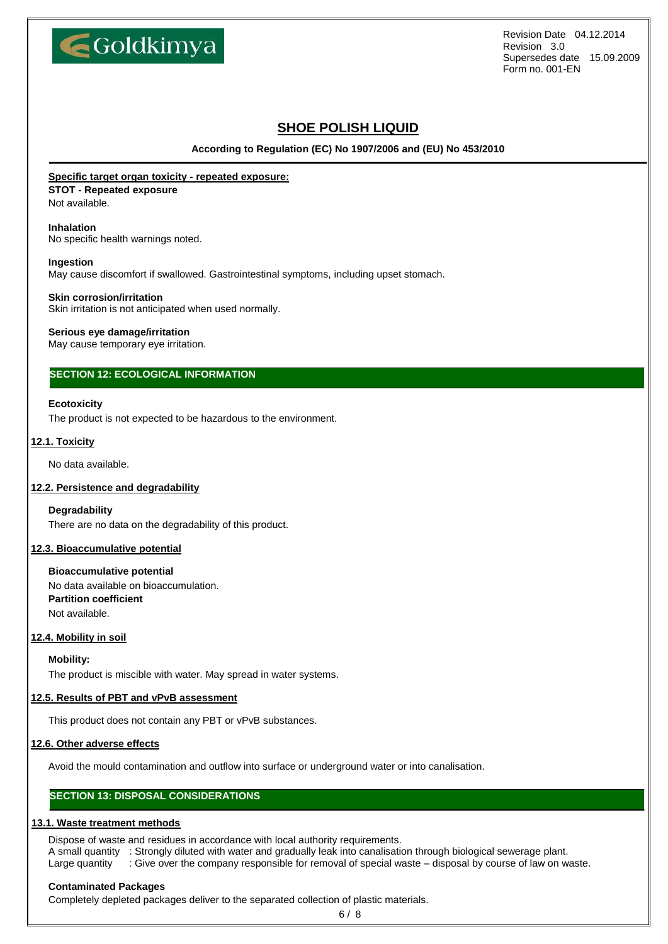

# **SHOE POLISH LIQUID**

**According to Regulation (EC) No 1907/2006 and (EU) No 453/2010**

## **Specific target organ toxicity - repeated exposure:**

**STOT - Repeated exposure**

Not available.

## **Inhalation**

No specific health warnings noted.

#### **Ingestion**

May cause discomfort if swallowed. Gastrointestinal symptoms, including upset stomach.

#### **Skin corrosion/irritation**

Skin irritation is not anticipated when used normally.

### **Serious eye damage/irritation**

May cause temporary eye irritation.

## **SECTION 12: ECOLOGICAL INFORMATION**

### **Ecotoxicity**

The product is not expected to be hazardous to the environment.

### **12.1. Toxicity**

No data available.

### **12.2. Persistence and degradability**

## **Degradability**

There are no data on the degradability of this product.

### **12.3. Bioaccumulative potential**

**Bioaccumulative potential** No data available on bioaccumulation. **Partition coefficient** Not available.

## **12.4. Mobility in soil**

**Mobility:**

The product is miscible with water. May spread in water systems.

## **12.5. Results of PBT and vPvB assessment**

This product does not contain any PBT or vPvB substances.

### **12.6. Other adverse effects**

Avoid the mould contamination and outflow into surface or underground water or into canalisation.

## **SECTION 13: DISPOSAL CONSIDERATIONS**

## **13.1. Waste treatment methods**

Dispose of waste and residues in accordance with local authority requirements.

A small quantity : Strongly diluted with water and gradually leak into canalisation through biological sewerage plant. Large quantity : Give over the company responsible for removal of special waste – disposal by course of law on waste.

#### **Contaminated Packages**

Completely depleted packages deliver to the separated collection of plastic materials.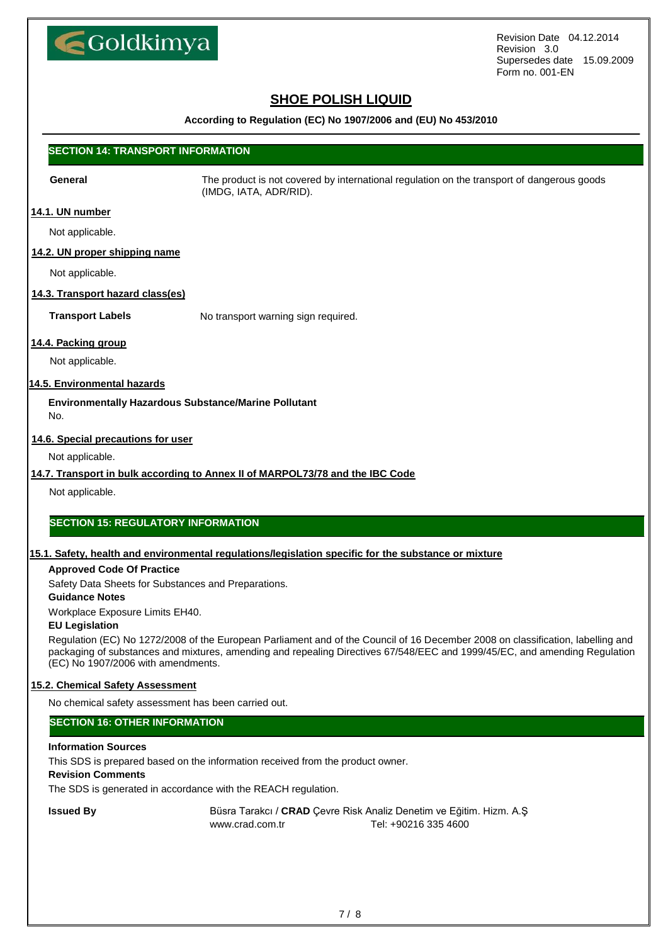

# **SHOE POLISH LIQUID**

## **According to Regulation (EC) No 1907/2006 and (EU) No 453/2010**

## **SECTION 14: TRANSPORT INFORMATION**

**General** The product is not covered by international regulation on the transport of dangerous goods (IMDG, IATA, ADR/RID).

## **14.1. UN number**

Not applicable.

## **14.2. UN proper shipping name**

Not applicable.

## **14.3. Transport hazard class(es)**

**Transport Labels** No transport warning sign required.

## **14.4. Packing group**

Not applicable.

## **14.5. Environmental hazards**

**Environmentally Hazardous Substance/Marine Pollutant** No.

## **14.6. Special precautions for user**

Not applicable.

## **14.7. Transport in bulk according to Annex II of MARPOL73/78 and the IBC Code**

Not applicable.

## **SECTION 15: REGULATORY INFORMATION**

### **15.1. Safety, health and environmental regulations/legislation specific for the substance or mixture**

## **Approved Code Of Practice**

Safety Data Sheets for Substances and Preparations.

### **Guidance Notes**

Workplace Exposure Limits EH40.

### **EU Legislation**

Regulation (EC) No 1272/2008 of the European Parliament and of the Council of 16 December 2008 on classification, labelling and packaging of substances and mixtures, amending and repealing Directives 67/548/EEC and 1999/45/EC, and amending Regulation (EC) No 1907/2006 with amendments.

## **15.2. Chemical Safety Assessment**

No chemical safety assessment has been carried out.

## **SECTION 16: OTHER INFORMATION**

### **Information Sources**

This SDS is prepared based on the information received from the product owner.

## **Revision Comments**

The SDS is generated in accordance with the REACH regulation.

**Issued By** Büsra Tarakcı / **CRAD** Çevre Risk Analiz Denetim ve Eğitim. Hizm. A.Ş www.crad.com.tr Tel: +90216 335 4600